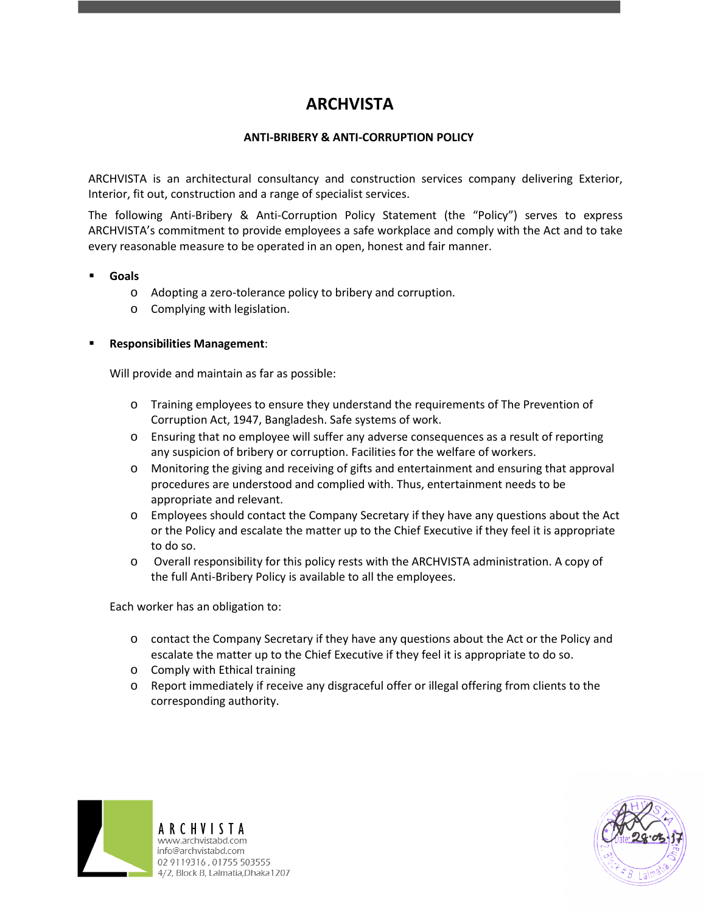# **ARCHVISTA**

## **ANTI-BRIBERY & ANTI-CORRUPTION POLICY**

ARCHVISTA is an architectural consultancy and construction services company delivering Exterior, Interior, fit out, construction and a range of specialist services.

The following Anti-Bribery & Anti-Corruption Policy Statement (the "Policy") serves to express ARCHVISTA's commitment to provide employees a safe workplace and comply with the Act and to take every reasonable measure to be operated in an open, honest and fair manner.

#### **Goals**

- o Adopting a zero-tolerance policy to bribery and corruption.
- o Complying with legislation.

#### **Responsibilities Management**:

Will provide and maintain as far as possible:

- o Training employees to ensure they understand the requirements of The Prevention of Corruption Act, 1947, Bangladesh. Safe systems of work.
- o Ensuring that no employee will suffer any adverse consequences as a result of reporting any suspicion of bribery or corruption. Facilities for the welfare of workers.
- o Monitoring the giving and receiving of gifts and entertainment and ensuring that approval procedures are understood and complied with. Thus, entertainment needs to be appropriate and relevant.
- o Employees should contact the Company Secretary if they have any questions about the Act or the Policy and escalate the matter up to the Chief Executive if they feel it is appropriate to do so.
- o Overall responsibility for this policy rests with the ARCHVISTA administration. A copy of the full Anti-Bribery Policy is available to all the employees.

Each worker has an obligation to:

- o contact the Company Secretary if they have any questions about the Act or the Policy and escalate the matter up to the Chief Executive if they feel it is appropriate to do so.
- o Comply with Ethical training
- o Report immediately if receive any disgraceful offer or illegal offering from clients to the corresponding authority.



ARCHVISTA www.archvistabd.com info@archvistabd.com 02 9119316, 01755 503555 4/2, Block B, Lalmatia, Dhaka 1207